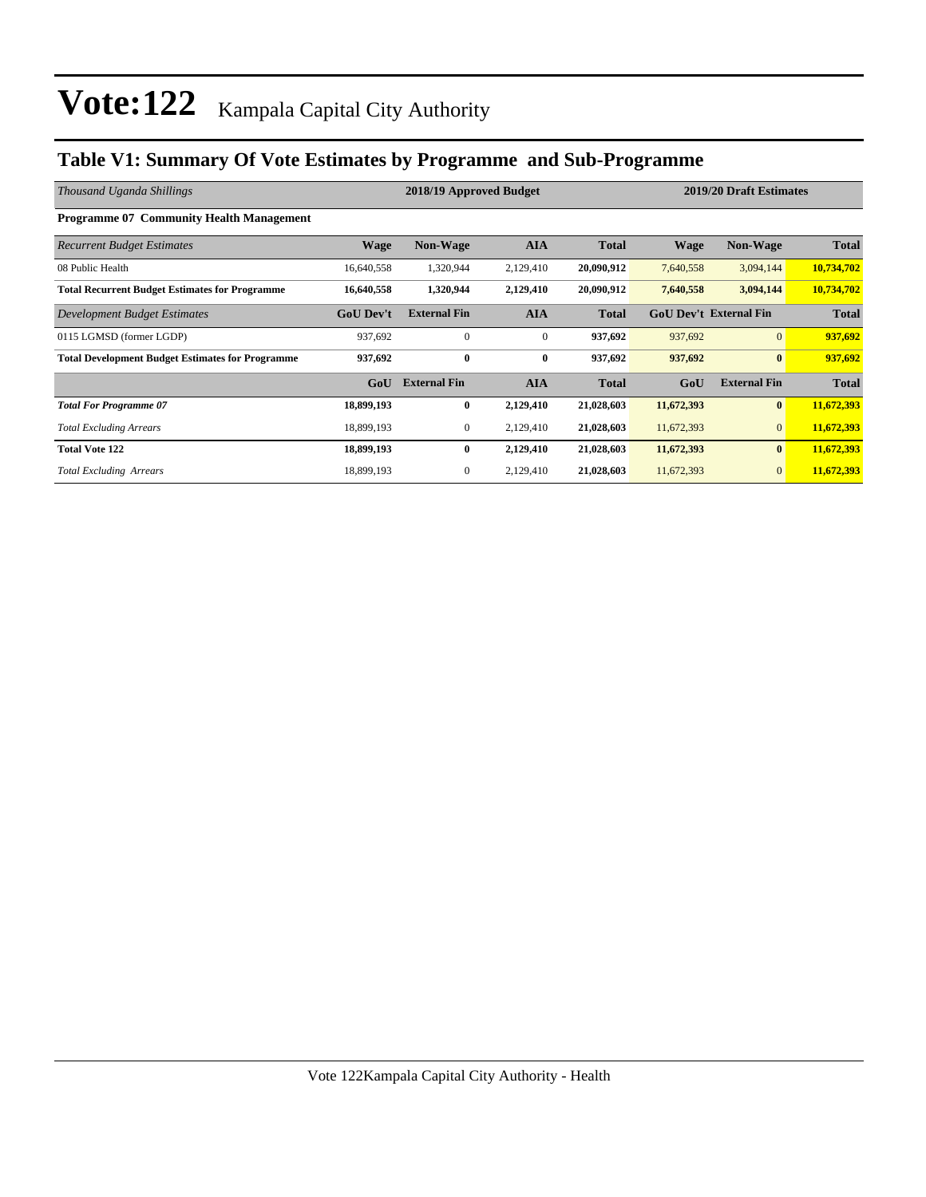### **Table V1: Summary Of Vote Estimates by Programme and Sub-Programme**

| Thousand Uganda Shillings                               | 2018/19 Approved Budget |                     |              |              | 2019/20 Draft Estimates |                               |              |  |
|---------------------------------------------------------|-------------------------|---------------------|--------------|--------------|-------------------------|-------------------------------|--------------|--|
| <b>Programme 07 Community Health Management</b>         |                         |                     |              |              |                         |                               |              |  |
| <b>Recurrent Budget Estimates</b>                       | <b>Wage</b>             | <b>Non-Wage</b>     | <b>AIA</b>   | <b>Total</b> | <b>Wage</b>             | <b>Non-Wage</b>               | <b>Total</b> |  |
| 08 Public Health                                        | 16,640,558              | 1,320,944           | 2,129,410    | 20,090,912   | 7,640,558               | 3,094,144                     | 10,734,702   |  |
| <b>Total Recurrent Budget Estimates for Programme</b>   | 16,640,558              | 1,320,944           | 2,129,410    | 20,090,912   | 7,640,558               | 3,094,144                     | 10,734,702   |  |
| Development Budget Estimates                            | <b>GoU Dev't</b>        | <b>External Fin</b> | <b>AIA</b>   | <b>Total</b> |                         | <b>GoU Dev't External Fin</b> | <b>Total</b> |  |
| 0115 LGMSD (former LGDP)                                | 937,692                 | $\mathbf{0}$        | $\mathbf{0}$ | 937,692      | 937,692                 | $\overline{0}$                | 937,692      |  |
| <b>Total Development Budget Estimates for Programme</b> | 937,692                 | $\mathbf{0}$        | $\bf{0}$     | 937,692      | 937,692                 | $\bf{0}$                      | 937,692      |  |
|                                                         | GoU                     | <b>External Fin</b> | <b>AIA</b>   | <b>Total</b> | GoU                     | <b>External Fin</b>           | <b>Total</b> |  |
| <b>Total For Programme 07</b>                           | 18,899,193              | $\bf{0}$            | 2,129,410    | 21,028,603   | 11,672,393              | $\bf{0}$                      | 11,672,393   |  |
| <b>Total Excluding Arrears</b>                          | 18,899,193              | $\mathbf{0}$        | 2,129,410    | 21,028,603   | 11,672,393              | $\overline{0}$                | 11,672,393   |  |
| <b>Total Vote 122</b>                                   | 18,899,193              | $\bf{0}$            | 2,129,410    | 21,028,603   | 11,672,393              | $\bf{0}$                      | 11,672,393   |  |
| <b>Total Excluding Arrears</b>                          | 18,899,193              | 0                   | 2,129,410    | 21,028,603   | 11,672,393              | $\overline{0}$                | 11,672,393   |  |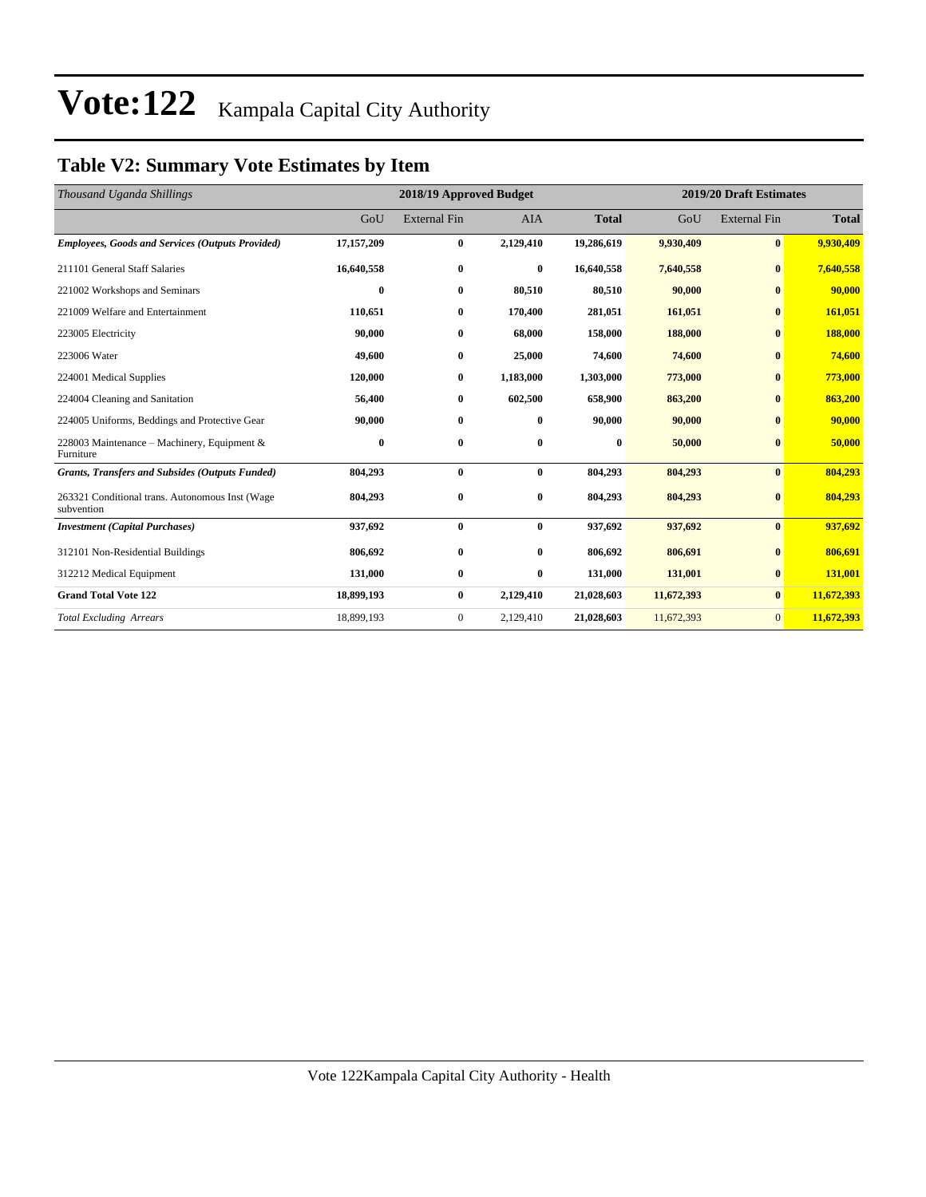### **Table V2: Summary Vote Estimates by Item**

| Thousand Uganda Shillings                                     |            | 2018/19 Approved Budget |            | 2019/20 Draft Estimates |            |                     |              |
|---------------------------------------------------------------|------------|-------------------------|------------|-------------------------|------------|---------------------|--------------|
|                                                               | GoU        | <b>External Fin</b>     | <b>AIA</b> | <b>Total</b>            | GoU        | <b>External Fin</b> | <b>Total</b> |
| <b>Employees, Goods and Services (Outputs Provided)</b>       | 17,157,209 | $\bf{0}$                | 2,129,410  | 19,286,619              | 9,930,409  | $\bf{0}$            | 9,930,409    |
| 211101 General Staff Salaries                                 | 16,640,558 | $\bf{0}$                | $\bf{0}$   | 16,640,558              | 7,640,558  | $\bf{0}$            | 7,640,558    |
| 221002 Workshops and Seminars                                 | 0          | $\bf{0}$                | 80,510     | 80,510                  | 90,000     | $\bf{0}$            | 90,000       |
| 221009 Welfare and Entertainment                              | 110,651    | $\bf{0}$                | 170,400    | 281,051                 | 161,051    | $\bf{0}$            | 161,051      |
| 223005 Electricity                                            | 90,000     | $\bf{0}$                | 68,000     | 158,000                 | 188,000    | $\bf{0}$            | 188,000      |
| 223006 Water                                                  | 49,600     | $\bf{0}$                | 25,000     | 74,600                  | 74,600     | $\bf{0}$            | 74,600       |
| 224001 Medical Supplies                                       | 120,000    | $\bf{0}$                | 1,183,000  | 1,303,000               | 773,000    | $\bf{0}$            | 773,000      |
| 224004 Cleaning and Sanitation                                | 56,400     | $\bf{0}$                | 602,500    | 658,900                 | 863,200    | $\bf{0}$            | 863,200      |
| 224005 Uniforms, Beddings and Protective Gear                 | 90,000     | $\bf{0}$                | $\bf{0}$   | 90,000                  | 90,000     | $\bf{0}$            | 90,000       |
| 228003 Maintenance – Machinery, Equipment &<br>Furniture      | 0          | $\bf{0}$                | $\bf{0}$   | 0                       | 50,000     | $\bf{0}$            | 50,000       |
| <b>Grants, Transfers and Subsides (Outputs Funded)</b>        | 804,293    | $\bf{0}$                | $\bf{0}$   | 804,293                 | 804,293    | $\bf{0}$            | 804,293      |
| 263321 Conditional trans. Autonomous Inst (Wage<br>subvention | 804,293    | $\bf{0}$                | $\bf{0}$   | 804,293                 | 804,293    | $\bf{0}$            | 804,293      |
| <b>Investment (Capital Purchases)</b>                         | 937,692    | $\bf{0}$                | $\bf{0}$   | 937,692                 | 937,692    | $\bf{0}$            | 937,692      |
| 312101 Non-Residential Buildings                              | 806,692    | $\bf{0}$                | $\bf{0}$   | 806,692                 | 806,691    | $\bf{0}$            | 806,691      |
| 312212 Medical Equipment                                      | 131,000    | $\bf{0}$                | $\bf{0}$   | 131,000                 | 131,001    | $\bf{0}$            | 131,001      |
| <b>Grand Total Vote 122</b>                                   | 18,899,193 | $\bf{0}$                | 2,129,410  | 21,028,603              | 11,672,393 | $\bf{0}$            | 11,672,393   |
| <b>Total Excluding Arrears</b>                                | 18,899,193 | $\boldsymbol{0}$        | 2,129,410  | 21,028,603              | 11,672,393 | $\mathbf{0}$        | 11,672,393   |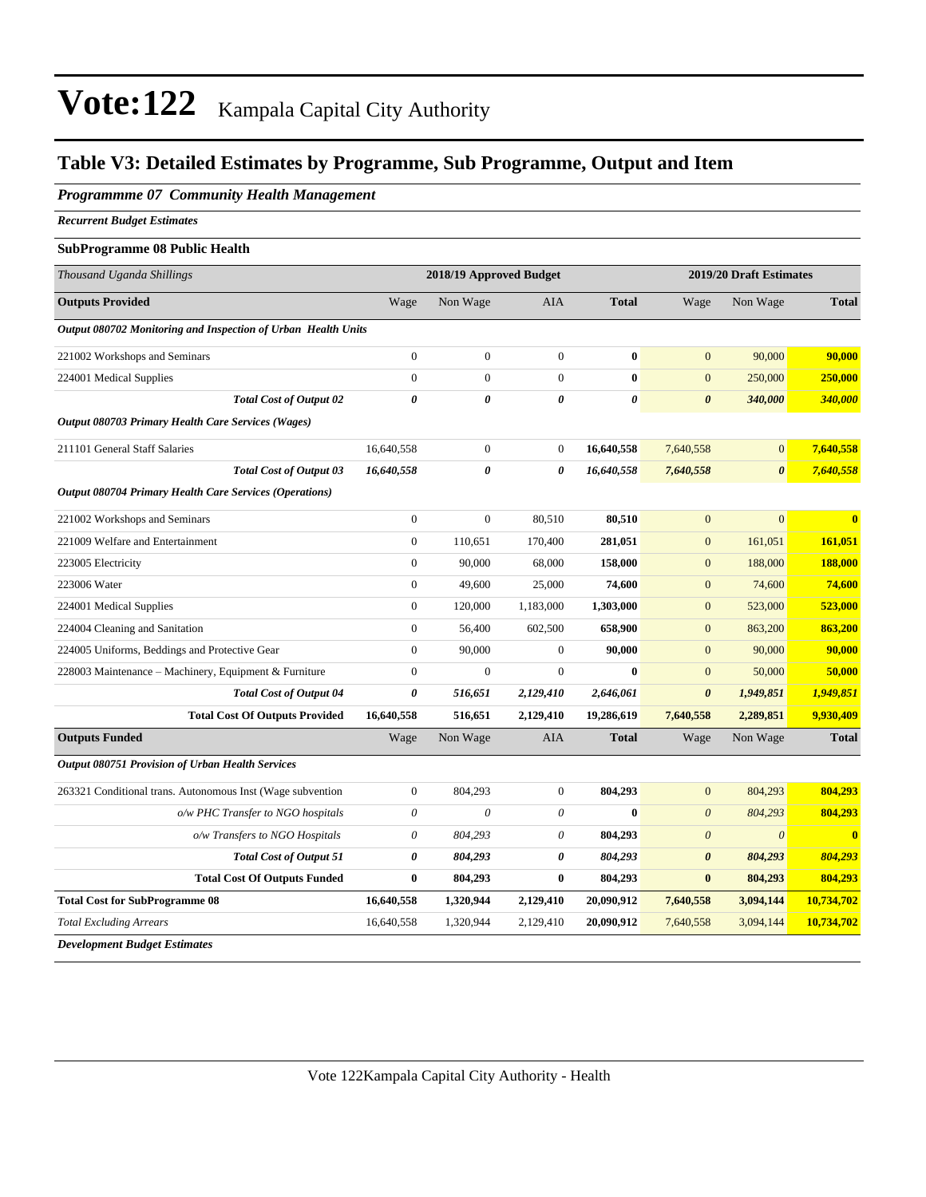### **Table V3: Detailed Estimates by Programme, Sub Programme, Output and Item**

#### *Programmme 07 Community Health Management*

*Recurrent Budget Estimates*

#### **SubProgramme 08 Public Health**

| Thousand Uganda Shillings                                     |                       | 2018/19 Approved Budget |                           |                       | 2019/20 Draft Estimates |                       |                         |
|---------------------------------------------------------------|-----------------------|-------------------------|---------------------------|-----------------------|-------------------------|-----------------------|-------------------------|
| <b>Outputs Provided</b>                                       | Wage                  | Non Wage                | <b>AIA</b>                | <b>Total</b>          | Wage                    | Non Wage              | <b>Total</b>            |
| Output 080702 Monitoring and Inspection of Urban Health Units |                       |                         |                           |                       |                         |                       |                         |
| 221002 Workshops and Seminars                                 | $\boldsymbol{0}$      | $\overline{0}$          | $\overline{0}$            | $\bf{0}$              | $\overline{0}$          | 90,000                | 90,000                  |
| 224001 Medical Supplies                                       | $\mathbf{0}$          | $\overline{0}$          | $\overline{0}$            | $\bf{0}$              | $\mathbf{0}$            | 250,000               | 250,000                 |
| <b>Total Cost of Output 02</b>                                | $\pmb{\theta}$        | 0                       | 0                         | $\boldsymbol{\theta}$ | $\boldsymbol{\theta}$   | 340,000               | 340,000                 |
| Output 080703 Primary Health Care Services (Wages)            |                       |                         |                           |                       |                         |                       |                         |
| 211101 General Staff Salaries                                 | 16,640,558            | $\boldsymbol{0}$        | $\mathbf{0}$              | 16,640,558            | 7,640,558               | $\mathbf{0}$          | 7,640,558               |
| <b>Total Cost of Output 03</b>                                | 16,640,558            | 0                       | 0                         | 16,640,558            | 7,640,558               | $\boldsymbol{\theta}$ | 7,640,558               |
| Output 080704 Primary Health Care Services (Operations)       |                       |                         |                           |                       |                         |                       |                         |
| 221002 Workshops and Seminars                                 | $\boldsymbol{0}$      | $\boldsymbol{0}$        | 80,510                    | 80,510                | $\mathbf{0}$            | $\mathbf{0}$          | $\bf{0}$                |
| 221009 Welfare and Entertainment                              | $\boldsymbol{0}$      | 110,651                 | 170,400                   | 281,051               | $\boldsymbol{0}$        | 161,051               | 161,051                 |
| 223005 Electricity                                            | $\mathbf{0}$          | 90,000                  | 68,000                    | 158,000               | $\boldsymbol{0}$        | 188,000               | 188,000                 |
| 223006 Water                                                  | $\mathbf{0}$          | 49,600                  | 25,000                    | 74,600                | $\mathbf{0}$            | 74,600                | 74,600                  |
| 224001 Medical Supplies                                       | $\mathbf{0}$          | 120,000                 | 1,183,000                 | 1,303,000             | $\mathbf{0}$            | 523,000               | 523,000                 |
| 224004 Cleaning and Sanitation                                | $\mathbf{0}$          | 56,400                  | 602,500                   | 658,900               | $\boldsymbol{0}$        | 863,200               | 863,200                 |
| 224005 Uniforms, Beddings and Protective Gear                 | $\boldsymbol{0}$      | 90,000                  | $\boldsymbol{0}$          | 90,000                | $\overline{0}$          | 90,000                | 90,000                  |
| 228003 Maintenance - Machinery, Equipment & Furniture         | $\boldsymbol{0}$      | $\boldsymbol{0}$        | $\boldsymbol{0}$          | $\bf{0}$              | $\boldsymbol{0}$        | 50,000                | 50,000                  |
| <b>Total Cost of Output 04</b>                                | $\boldsymbol{\theta}$ | 516,651                 | 2,129,410                 | 2,646,061             | $\boldsymbol{\theta}$   | 1,949,851             | 1,949,851               |
| <b>Total Cost Of Outputs Provided</b>                         | 16,640,558            | 516,651                 | 2,129,410                 | 19,286,619            | 7,640,558               | 2,289,851             | 9,930,409               |
| <b>Outputs Funded</b>                                         | Wage                  | Non Wage                | AIA                       | <b>Total</b>          | Wage                    | Non Wage              | <b>Total</b>            |
| <b>Output 080751 Provision of Urban Health Services</b>       |                       |                         |                           |                       |                         |                       |                         |
| 263321 Conditional trans. Autonomous Inst (Wage subvention    | $\boldsymbol{0}$      | 804,293                 | $\mathbf{0}$              | 804,293               | $\mathbf{0}$            | 804,293               | 804,293                 |
| o/w PHC Transfer to NGO hospitals                             | $\boldsymbol{\theta}$ | $\boldsymbol{\theta}$   | $\boldsymbol{\mathit{0}}$ | $\bf{0}$              | $\boldsymbol{\theta}$   | 804,293               | 804,293                 |
| o/w Transfers to NGO Hospitals                                | $\theta$              | 804,293                 | 0                         | 804,293               | $\theta$                | $\boldsymbol{\theta}$ | $\overline{\mathbf{0}}$ |
| <b>Total Cost of Output 51</b>                                | $\boldsymbol{\theta}$ | 804,293                 | 0                         | 804,293               | $\boldsymbol{\theta}$   | 804,293               | 804,293                 |
| <b>Total Cost Of Outputs Funded</b>                           | $\bf{0}$              | 804,293                 | $\bf{0}$                  | 804,293               | $\bf{0}$                | 804,293               | 804,293                 |
| <b>Total Cost for SubProgramme 08</b>                         | 16,640,558            | 1,320,944               | 2,129,410                 | 20,090,912            | 7,640,558               | 3,094,144             | 10,734,702              |
| <b>Total Excluding Arrears</b>                                | 16,640,558            | 1,320,944               | 2,129,410                 | 20,090,912            | 7,640,558               | 3,094,144             | 10,734,702              |
| <b>Development Budget Estimates</b>                           |                       |                         |                           |                       |                         |                       |                         |